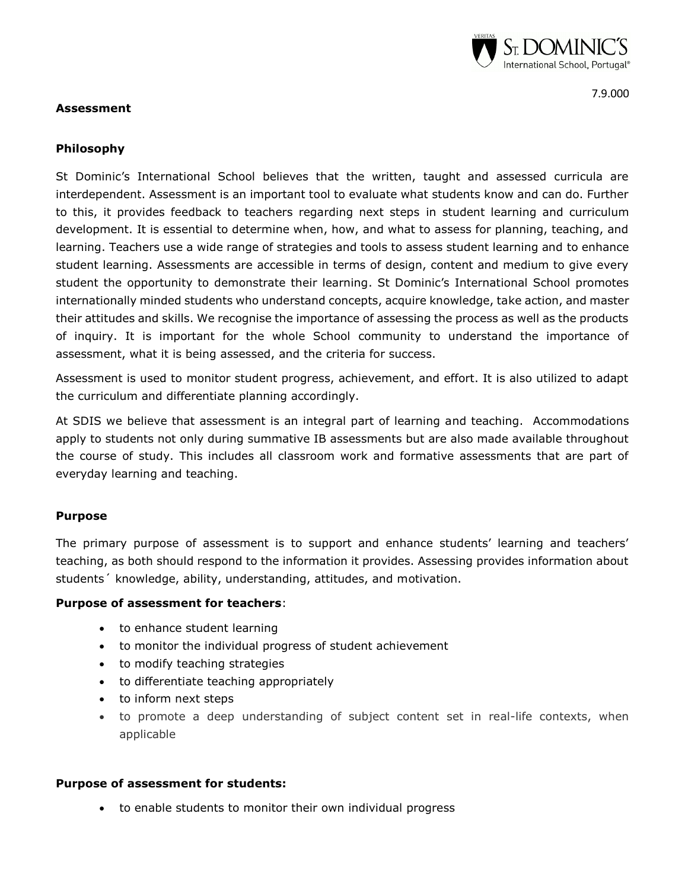

7.9.000

### **Assessment**

## **Philosophy**

St Dominic's International School believes that the written, taught and assessed curricula are interdependent. Assessment is an important tool to evaluate what students know and can do. Further to this, it provides feedback to teachers regarding next steps in student learning and curriculum development. It is essential to determine when, how, and what to assess for planning, teaching, and learning. Teachers use a wide range of strategies and tools to assess student learning and to enhance student learning. Assessments are accessible in terms of design, content and medium to give every student the opportunity to demonstrate their learning. St Dominic's International School promotes internationally minded students who understand concepts, acquire knowledge, take action, and master their attitudes and skills. We recognise the importance of assessing the process as well as the products of inquiry. It is important for the whole School community to understand the importance of assessment, what it is being assessed, and the criteria for success.

Assessment is used to monitor student progress, achievement, and effort. It is also utilized to adapt the curriculum and differentiate planning accordingly.

At SDIS we believe that assessment is an integral part of learning and teaching. Accommodations apply to students not only during summative IB assessments but are also made available throughout the course of study. This includes all classroom work and formative assessments that are part of everyday learning and teaching.

### **Purpose**

The primary purpose of assessment is to support and enhance students' learning and teachers' teaching, as both should respond to the information it provides. Assessing provides information about students´ knowledge, ability, understanding, attitudes, and motivation.

### **Purpose of assessment for teachers**:

- to enhance student learning
- to monitor the individual progress of student achievement
- to modify teaching strategies
- to differentiate teaching appropriately
- to inform next steps
- to promote a deep understanding of subject content set in real-life contexts, when applicable

### **Purpose of assessment for students:**

to enable students to monitor their own individual progress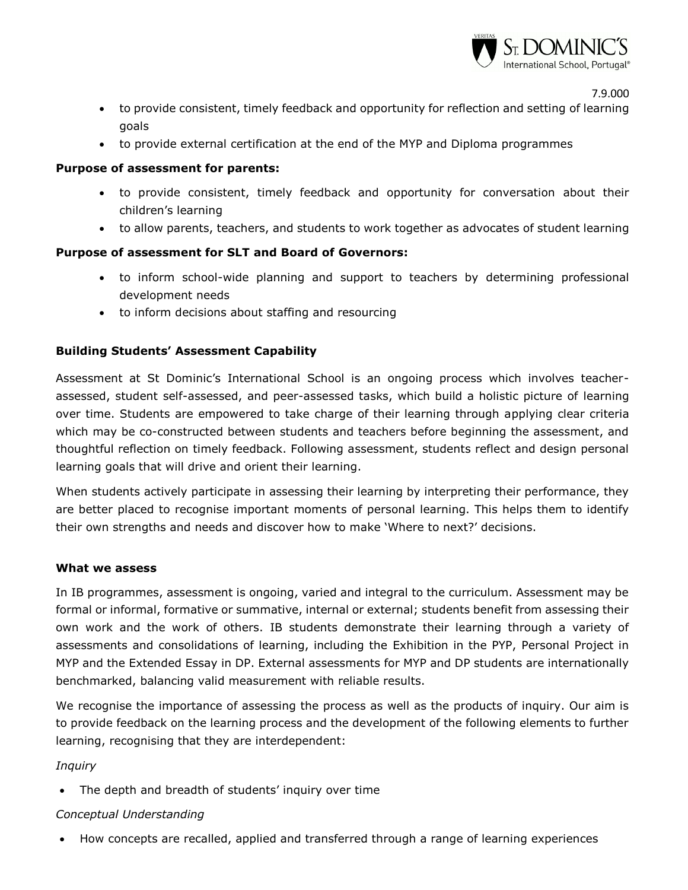

7.9.000

- to provide consistent, timely feedback and opportunity for reflection and setting of learning goals
- to provide external certification at the end of the MYP and Diploma programmes

### **Purpose of assessment for parents:**

- to provide consistent, timely feedback and opportunity for conversation about their children's learning
- to allow parents, teachers, and students to work together as advocates of student learning

# **Purpose of assessment for SLT and Board of Governors:**

- to inform school-wide planning and support to teachers by determining professional development needs
- to inform decisions about staffing and resourcing

# **Building Students' Assessment Capability**

Assessment at St Dominic's International School is an ongoing process which involves teacherassessed, student self-assessed, and peer-assessed tasks, which build a holistic picture of learning over time. Students are empowered to take charge of their learning through applying clear criteria which may be co-constructed between students and teachers before beginning the assessment, and thoughtful reflection on timely feedback. Following assessment, students reflect and design personal learning goals that will drive and orient their learning.

When students actively participate in assessing their learning by interpreting their performance, they are better placed to recognise important moments of personal learning. This helps them to identify their own strengths and needs and discover how to make 'Where to next?' decisions.

### **What we assess**

In IB programmes, assessment is ongoing, varied and integral to the curriculum. Assessment may be formal or informal, formative or summative, internal or external; students benefit from assessing their own work and the work of others. IB students demonstrate their learning through a variety of assessments and consolidations of learning, including the Exhibition in the PYP, Personal Project in MYP and the Extended Essay in DP. External assessments for MYP and DP students are internationally benchmarked, balancing valid measurement with reliable results.

We recognise the importance of assessing the process as well as the products of inquiry. Our aim is to provide feedback on the learning process and the development of the following elements to further learning, recognising that they are interdependent:

### *Inquiry*

• The depth and breadth of students' inquiry over time

### *Conceptual Understanding*

How concepts are recalled, applied and transferred through a range of learning experiences